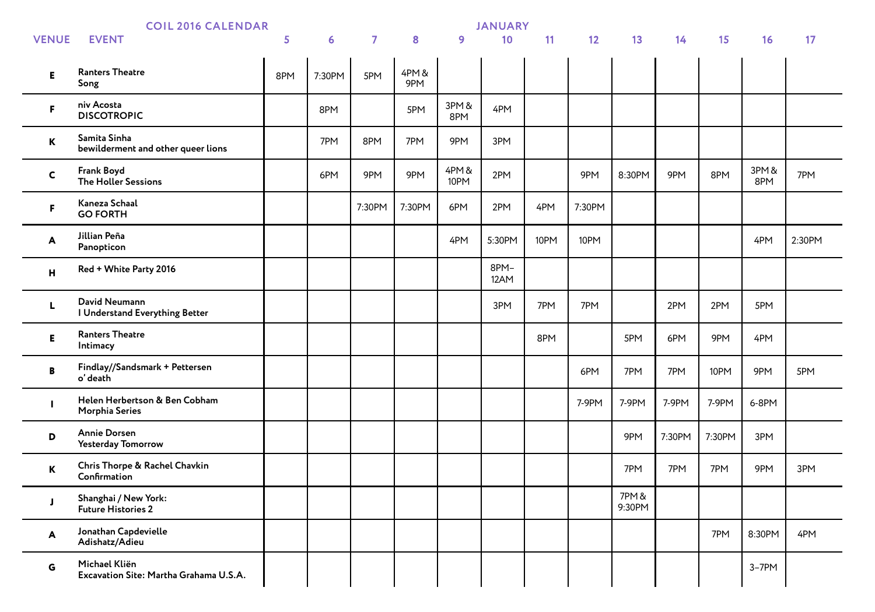|              | <b>COIL 2016 CALENDAR</b>                               |     | <b>JANUARY</b> |                |             |               |              |      |        |                 |        |        |             |        |
|--------------|---------------------------------------------------------|-----|----------------|----------------|-------------|---------------|--------------|------|--------|-----------------|--------|--------|-------------|--------|
| <b>VENUE</b> | <b>EVENT</b>                                            | 5   | $6\phantom{1}$ | $\overline{7}$ | 8           | 9             | 10           | 11   | 12     | 13              | 14     | 15     | 16          | 17     |
| E            | <b>Ranters Theatre</b><br>Song                          | 8PM | 7:30PM         | 5PM            | 4PM&<br>9PM |               |              |      |        |                 |        |        |             |        |
| F.           | niv Acosta<br><b>DISCOTROPIC</b>                        |     | 8PM            |                | 5PM         | 3PM&<br>8PM   | 4PM          |      |        |                 |        |        |             |        |
| К            | Samita Sinha<br>bewilderment and other queer lions      |     | 7PM            | 8PM            | 7PM         | 9PM           | 3PM          |      |        |                 |        |        |             |        |
| $\mathsf{C}$ | Frank Boyd<br><b>The Holler Sessions</b>                |     | 6PM            | 9PM            | 9PM         | 4PM &<br>10PM | 2PM          |      | 9PM    | 8:30PM          | 9PM    | 8PM    | 3PM&<br>8PM | 7PM    |
| F.           | Kaneza Schaal<br><b>GO FORTH</b>                        |     |                | 7:30PM         | 7:30PM      | 6PM           | 2PM          | 4PM  | 7:30PM |                 |        |        |             |        |
| A            | Jillian Peña<br>Panopticon                              |     |                |                |             | 4PM           | 5:30PM       | 10PM | 10PM   |                 |        |        | 4PM         | 2:30PM |
| н            | Red + White Party 2016                                  |     |                |                |             |               | 8PM-<br>12AM |      |        |                 |        |        |             |        |
| L.           | David Neumann<br>I Understand Everything Better         |     |                |                |             |               | 3PM          | 7PM  | 7PM    |                 | 2PM    | 2PM    | 5PM         |        |
| Е            | <b>Ranters Theatre</b><br>Intimacy                      |     |                |                |             |               |              | 8PM  |        | 5PM             | 6PM    | 9PM    | 4PM         |        |
| В            | Findlay//Sandsmark + Pettersen<br>o' death              |     |                |                |             |               |              |      | 6PM    | 7PM             | 7PM    | 10PM   | 9PM         | 5PM    |
| г            | Helen Herbertson & Ben Cobham<br><b>Morphia Series</b>  |     |                |                |             |               |              |      | 7-9PM  | 7-9PM           | 7-9PM  | 7-9PM  | 6-8PM       |        |
| D            | <b>Annie Dorsen</b><br><b>Yesterday Tomorrow</b>        |     |                |                |             |               |              |      |        | 9PM             | 7:30PM | 7:30PM | 3PM         |        |
| $\mathbf K$  | Chris Thorpe & Rachel Chavkin<br>Confirmation           |     |                |                |             |               |              |      |        | 7PM             | 7PM    | 7PM    | 9PM         | 3PM    |
| J            | Shanghai / New York:<br><b>Future Histories 2</b>       |     |                |                |             |               |              |      |        | 7PM &<br>9:30PM |        |        |             |        |
| A            | Jonathan Capdevielle<br>Adishatz/Adieu                  |     |                |                |             |               |              |      |        |                 |        | 7PM    | 8:30PM      | 4PM    |
| G            | Michael Kliën<br>Excavation Site: Martha Grahama U.S.A. |     |                |                |             |               |              |      |        |                 |        |        | $3-7PM$     |        |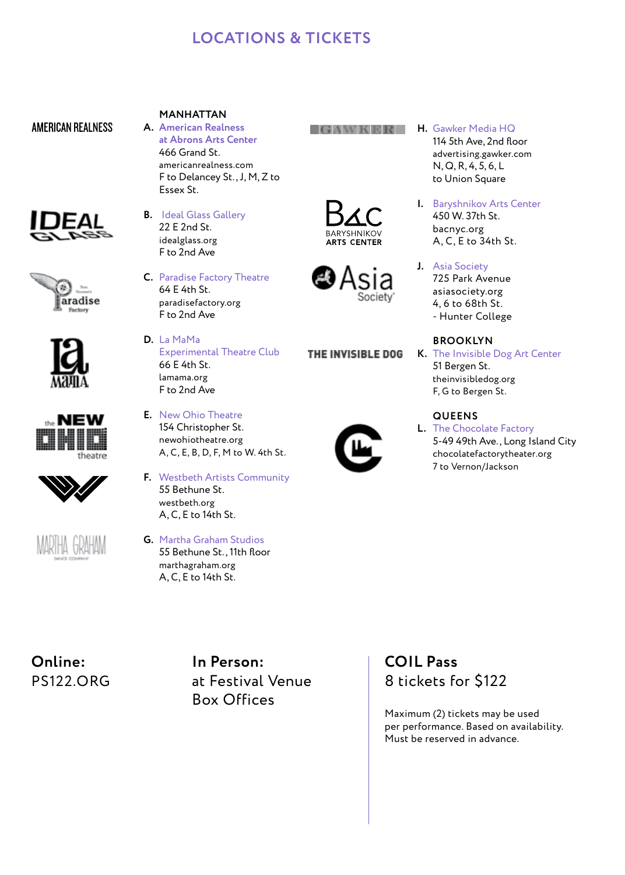# **LOCATIONS & TICKETS**

### AMERICAN REALNESS













## **MANHATTAN**

- **A. American Realness at Abrons Arts Center** 466 Grand St. americanrealness.com F to Delancey St., J, M, Z to Essex St.
- **B.** Ideal Glass Gallery 22 E 2nd St. idealglass.org F to 2nd Ave
- **C.** Paradise Factory Theatre 64 E 4th St. paradisefactory.org F to 2nd Ave
- **D.** La MaMa Experimental Theatre Club 66 E 4th St. lamama.org F to 2nd Ave
- **E.** New Ohio Theatre 154 Christopher St. newohiotheatre.org A, C, E, B, D, F, M to W. 4th St.
- **F.** Westbeth Artists Community 55 Bethune St. westbeth.org A, C, E to 14th St.
- **G.** Martha Graham Studios 55 Bethune St., 11th floor marthagraham.org A, C, E to 14th St.

#### **H. Gawker Media HO**

114 5th Ave, 2nd floor advertising.gawker.com N, Q, R, 4, 5, 6, L to Union Square



**J.** Asia Society 725 Park Avenue asiasociety.org 4, 6 to 68th St. - Hunter College

### **BROOKLYN**

**K.** The Invisible Dog Art Center 51 Bergen St. theinvisibledog.org F, G to Bergen St.

## **QUEENS**

**L.** The Chocolate Factory 5-49 49th Ave., Long Island City chocolatefactorytheater.org 7 to Vernon/Jackson

**Online:**  PS122.ORG **In Person:**  at Festival Venue Box Offices

# **COIL Pass** 8 tickets for \$122

Maximum (2) tickets may be used per performance. Based on availability. Must be reserved in advance.



THE INVISIBLE DOG